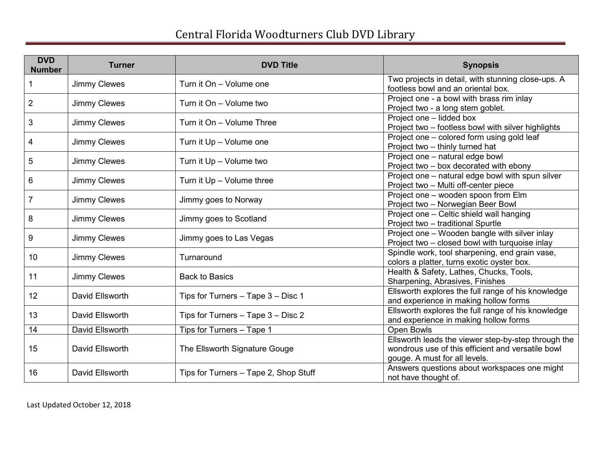| <b>DVD</b><br><b>Number</b> | <b>Turner</b>       | <b>DVD Title</b>                      | <b>Synopsis</b>                                                                                                                           |
|-----------------------------|---------------------|---------------------------------------|-------------------------------------------------------------------------------------------------------------------------------------------|
|                             | <b>Jimmy Clewes</b> | Turn it On - Volume one               | Two projects in detail, with stunning close-ups. A<br>footless bowl and an oriental box.                                                  |
| $\overline{2}$              | <b>Jimmy Clewes</b> | Turn it On - Volume two               | Project one - a bowl with brass rim inlay<br>Project two - a long stem goblet.                                                            |
| 3                           | <b>Jimmy Clewes</b> | Turn it On - Volume Three             | Project one - lidded box<br>Project two - footless bowl with silver highlights                                                            |
| 4                           | <b>Jimmy Clewes</b> | Turn it Up - Volume one               | Project one - colored form using gold leaf<br>Project two - thinly turned hat                                                             |
| 5                           | <b>Jimmy Clewes</b> | Turn it Up - Volume two               | Project one - natural edge bowl<br>Project two - box decorated with ebony                                                                 |
| 6                           | <b>Jimmy Clewes</b> | Turn it Up - Volume three             | Project one - natural edge bowl with spun silver<br>Project two - Multi off-center piece                                                  |
| $\overline{7}$              | <b>Jimmy Clewes</b> | Jimmy goes to Norway                  | Project one - wooden spoon from Elm<br>Project two - Norwegian Beer Bowl                                                                  |
| 8                           | <b>Jimmy Clewes</b> | Jimmy goes to Scotland                | Project one - Celtic shield wall hanging<br>Project two - traditional Spurtle                                                             |
| 9                           | <b>Jimmy Clewes</b> | Jimmy goes to Las Vegas               | Project one - Wooden bangle with silver inlay<br>Project two - closed bowl with turquoise inlay                                           |
| 10                          | <b>Jimmy Clewes</b> | Turnaround                            | Spindle work, tool sharpening, end grain vase,<br>colors a platter, turns exotic oyster box.                                              |
| 11                          | <b>Jimmy Clewes</b> | <b>Back to Basics</b>                 | Health & Safety, Lathes, Chucks, Tools,<br>Sharpening, Abrasives, Finishes                                                                |
| 12                          | David Ellsworth     | Tips for Turners - Tape 3 - Disc 1    | Ellsworth explores the full range of his knowledge<br>and experience in making hollow forms                                               |
| 13                          | David Ellsworth     | Tips for Turners - Tape 3 - Disc 2    | Ellsworth explores the full range of his knowledge<br>and experience in making hollow forms                                               |
| 14                          | David Ellsworth     | Tips for Turners - Tape 1             | <b>Open Bowls</b>                                                                                                                         |
| 15                          | David Ellsworth     | The Ellsworth Signature Gouge         | Ellsworth leads the viewer step-by-step through the<br>wondrous use of this efficient and versatile bowl<br>gouge. A must for all levels. |
| 16                          | David Ellsworth     | Tips for Turners - Tape 2, Shop Stuff | Answers questions about workspaces one might<br>not have thought of.                                                                      |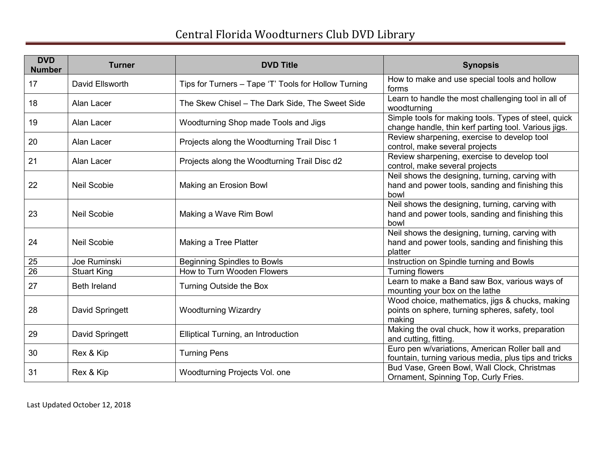| <b>DVD</b><br><b>Number</b> | <b>Turner</b>       | <b>DVD Title</b>                                     | <b>Synopsis</b>                                                                                                |
|-----------------------------|---------------------|------------------------------------------------------|----------------------------------------------------------------------------------------------------------------|
| 17                          | David Ellsworth     | Tips for Turners – Tape 'T' Tools for Hollow Turning | How to make and use special tools and hollow<br>forms                                                          |
| 18                          | Alan Lacer          | The Skew Chisel - The Dark Side, The Sweet Side      | Learn to handle the most challenging tool in all of<br>woodturning                                             |
| 19                          | Alan Lacer          | Woodturning Shop made Tools and Jigs                 | Simple tools for making tools. Types of steel, quick<br>change handle, thin kerf parting tool. Various jigs.   |
| 20                          | Alan Lacer          | Projects along the Woodturning Trail Disc 1          | Review sharpening, exercise to develop tool<br>control, make several projects                                  |
| 21                          | Alan Lacer          | Projects along the Woodturning Trail Disc d2         | Review sharpening, exercise to develop tool<br>control, make several projects                                  |
| 22                          | <b>Neil Scobie</b>  | Making an Erosion Bowl                               | Neil shows the designing, turning, carving with<br>hand and power tools, sanding and finishing this<br>bowl    |
| 23                          | <b>Neil Scobie</b>  | Making a Wave Rim Bowl                               | Neil shows the designing, turning, carving with<br>hand and power tools, sanding and finishing this<br>bowl    |
| 24                          | <b>Neil Scobie</b>  | Making a Tree Platter                                | Neil shows the designing, turning, carving with<br>hand and power tools, sanding and finishing this<br>platter |
| 25                          | Joe Ruminski        | <b>Beginning Spindles to Bowls</b>                   | Instruction on Spindle turning and Bowls                                                                       |
| $\overline{26}$             | <b>Stuart King</b>  | How to Turn Wooden Flowers                           | <b>Turning flowers</b>                                                                                         |
| 27                          | <b>Beth Ireland</b> | Turning Outside the Box                              | Learn to make a Band saw Box, various ways of<br>mounting your box on the lathe                                |
| 28                          | David Springett     | <b>Woodturning Wizardry</b>                          | Wood choice, mathematics, jigs & chucks, making<br>points on sphere, turning spheres, safety, tool<br>making   |
| 29                          | David Springett     | Elliptical Turning, an Introduction                  | Making the oval chuck, how it works, preparation<br>and cutting, fitting.                                      |
| 30                          | Rex & Kip           | <b>Turning Pens</b>                                  | Euro pen w/variations, American Roller ball and<br>fountain, turning various media, plus tips and tricks       |
| 31                          | Rex & Kip           | Woodturning Projects Vol. one                        | Bud Vase, Green Bowl, Wall Clock, Christmas<br>Ornament, Spinning Top, Curly Fries.                            |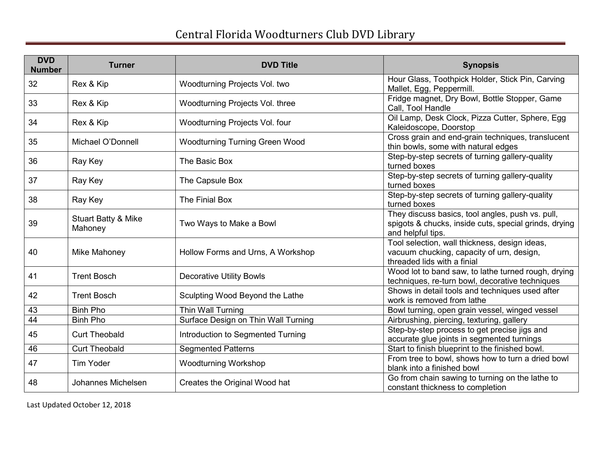| <b>DVD</b><br><b>Number</b> | <b>Turner</b>                             | <b>DVD Title</b>                      | <b>Synopsis</b>                                                                                                                |
|-----------------------------|-------------------------------------------|---------------------------------------|--------------------------------------------------------------------------------------------------------------------------------|
| 32                          | Rex & Kip                                 | Woodturning Projects Vol. two         | Hour Glass, Toothpick Holder, Stick Pin, Carving<br>Mallet, Egg, Peppermill.                                                   |
| 33                          | Rex & Kip                                 | Woodturning Projects Vol. three       | Fridge magnet, Dry Bowl, Bottle Stopper, Game<br>Call, Tool Handle                                                             |
| 34                          | Rex & Kip                                 | Woodturning Projects Vol. four        | Oil Lamp, Desk Clock, Pizza Cutter, Sphere, Egg<br>Kaleidoscope, Doorstop                                                      |
| 35                          | Michael O'Donnell                         | <b>Woodturning Turning Green Wood</b> | Cross grain and end-grain techniques, translucent<br>thin bowls, some with natural edges                                       |
| 36                          | Ray Key                                   | The Basic Box                         | Step-by-step secrets of turning gallery-quality<br>turned boxes                                                                |
| 37                          | Ray Key                                   | The Capsule Box                       | Step-by-step secrets of turning gallery-quality<br>turned boxes                                                                |
| 38                          | Ray Key                                   | The Finial Box                        | Step-by-step secrets of turning gallery-quality<br>turned boxes                                                                |
| 39                          | <b>Stuart Batty &amp; Mike</b><br>Mahoney | Two Ways to Make a Bowl               | They discuss basics, tool angles, push vs. pull,<br>spigots & chucks, inside cuts, special grinds, drying<br>and helpful tips. |
| 40                          | Mike Mahoney                              | Hollow Forms and Urns, A Workshop     | Tool selection, wall thickness, design ideas,<br>vacuum chucking, capacity of urn, design,<br>threaded lids with a finial      |
| 41                          | <b>Trent Bosch</b>                        | <b>Decorative Utility Bowls</b>       | Wood lot to band saw, to lathe turned rough, drying<br>techniques, re-turn bowl, decorative techniques                         |
| 42                          | <b>Trent Bosch</b>                        | Sculpting Wood Beyond the Lathe       | Shows in detail tools and techniques used after<br>work is removed from lathe                                                  |
| 43                          | <b>Binh Pho</b>                           | Thin Wall Turning                     | Bowl turning, open grain vessel, winged vessel                                                                                 |
| $\overline{44}$             | <b>Binh Pho</b>                           | Surface Design on Thin Wall Turning   | Airbrushing, piercing, texturing, gallery                                                                                      |
| 45                          | <b>Curt Theobald</b>                      | Introduction to Segmented Turning     | Step-by-step process to get precise jigs and<br>accurate glue joints in segmented turnings                                     |
| 46                          | <b>Curt Theobald</b>                      | <b>Segmented Patterns</b>             | Start to finish blueprint to the finished bowl.                                                                                |
| 47                          | <b>Tim Yoder</b>                          | <b>Woodturning Workshop</b>           | From tree to bowl, shows how to turn a dried bowl<br>blank into a finished bowl                                                |
| 48                          | Johannes Michelsen                        | Creates the Original Wood hat         | Go from chain sawing to turning on the lathe to<br>constant thickness to completion                                            |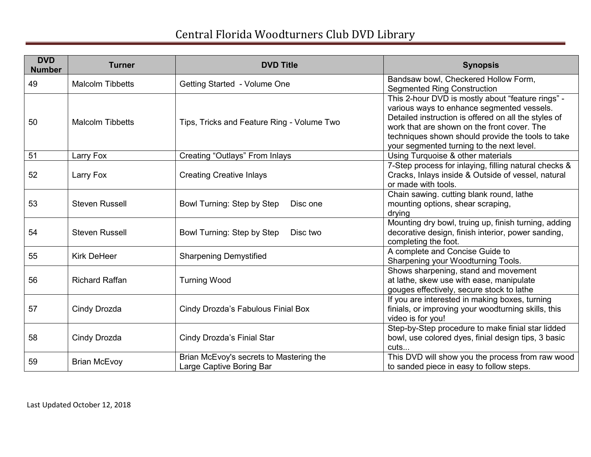| <b>DVD</b><br><b>Number</b> | <b>Turner</b>           | <b>DVD Title</b>                                                    | <b>Synopsis</b>                                                                                                                                                                                                                                                                                          |
|-----------------------------|-------------------------|---------------------------------------------------------------------|----------------------------------------------------------------------------------------------------------------------------------------------------------------------------------------------------------------------------------------------------------------------------------------------------------|
| 49                          | <b>Malcolm Tibbetts</b> | Getting Started - Volume One                                        | Bandsaw bowl, Checkered Hollow Form,<br><b>Segmented Ring Construction</b>                                                                                                                                                                                                                               |
| 50                          | <b>Malcolm Tibbetts</b> | Tips, Tricks and Feature Ring - Volume Two                          | This 2-hour DVD is mostly about "feature rings" -<br>various ways to enhance segmented vessels.<br>Detailed instruction is offered on all the styles of<br>work that are shown on the front cover. The<br>techniques shown should provide the tools to take<br>your segmented turning to the next level. |
| 51                          | Larry Fox               | <b>Creating "Outlays" From Inlays</b>                               | Using Turquoise & other materials                                                                                                                                                                                                                                                                        |
| 52                          | Larry Fox               | <b>Creating Creative Inlays</b>                                     | 7-Step process for inlaying, filling natural checks &<br>Cracks, Inlays inside & Outside of vessel, natural<br>or made with tools.                                                                                                                                                                       |
| 53                          | <b>Steven Russell</b>   | Bowl Turning: Step by Step<br>Disc one                              | Chain sawing. cutting blank round, lathe<br>mounting options, shear scraping,<br>drying                                                                                                                                                                                                                  |
| 54                          | <b>Steven Russell</b>   | Bowl Turning: Step by Step<br>Disc two                              | Mounting dry bowl, truing up, finish turning, adding<br>decorative design, finish interior, power sanding,<br>completing the foot.                                                                                                                                                                       |
| 55                          | <b>Kirk DeHeer</b>      | <b>Sharpening Demystified</b>                                       | A complete and Concise Guide to<br>Sharpening your Woodturning Tools.                                                                                                                                                                                                                                    |
| 56                          | <b>Richard Raffan</b>   | <b>Turning Wood</b>                                                 | Shows sharpening, stand and movement<br>at lathe, skew use with ease, manipulate<br>gouges effectively, secure stock to lathe                                                                                                                                                                            |
| 57                          | Cindy Drozda            | Cindy Drozda's Fabulous Finial Box                                  | If you are interested in making boxes, turning<br>finials, or improving your woodturning skills, this<br>video is for you!                                                                                                                                                                               |
| 58                          | Cindy Drozda            | Cindy Drozda's Finial Star                                          | Step-by-Step procedure to make finial star lidded<br>bowl, use colored dyes, finial design tips, 3 basic<br>cuts                                                                                                                                                                                         |
| 59                          | <b>Brian McEvoy</b>     | Brian McEvoy's secrets to Mastering the<br>Large Captive Boring Bar | This DVD will show you the process from raw wood<br>to sanded piece in easy to follow steps.                                                                                                                                                                                                             |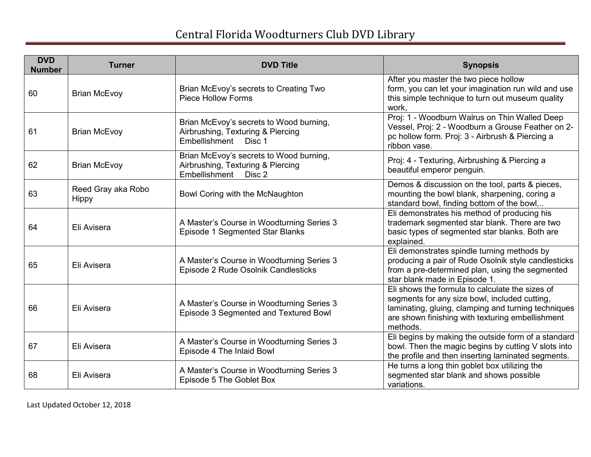| <b>DVD</b><br><b>Number</b> | <b>Turner</b>                      | <b>DVD Title</b>                                                                                        | <b>Synopsis</b>                                                                                                                                                                                                         |
|-----------------------------|------------------------------------|---------------------------------------------------------------------------------------------------------|-------------------------------------------------------------------------------------------------------------------------------------------------------------------------------------------------------------------------|
| 60                          | <b>Brian McEvoy</b>                | Brian McEvoy's secrets to Creating Two<br><b>Piece Hollow Forms</b>                                     | After you master the two piece hollow<br>form, you can let your imagination run wild and use<br>this simple technique to turn out museum quality<br>work,                                                               |
| 61                          | <b>Brian McEvoy</b>                | Brian McEvoy's secrets to Wood burning,<br>Airbrushing, Texturing & Piercing<br>Embellishment<br>Disc 1 | Proj: 1 - Woodburn Walrus on Thin Walled Deep<br>Vessel, Proj: 2 - Woodburn a Grouse Feather on 2-<br>pc hollow form. Proj: 3 - Airbrush & Piercing a<br>ribbon vase.                                                   |
| 62                          | <b>Brian McEvoy</b>                | Brian McEvoy's secrets to Wood burning,<br>Airbrushing, Texturing & Piercing<br>Embellishment<br>Disc 2 | Proj: 4 - Texturing, Airbrushing & Piercing a<br>beautiful emperor penguin.                                                                                                                                             |
| 63                          | Reed Gray aka Robo<br><b>Hippy</b> | Bowl Coring with the McNaughton                                                                         | Demos & discussion on the tool, parts & pieces,<br>mounting the bowl blank, sharpening, coring a<br>standard bowl, finding bottom of the bowl,                                                                          |
| 64                          | Eli Avisera                        | A Master's Course in Woodturning Series 3<br>Episode 1 Segmented Star Blanks                            | Eli demonstrates his method of producing his<br>trademark segmented star blank. There are two<br>basic types of segmented star blanks. Both are<br>explained.                                                           |
| 65                          | Eli Avisera                        | A Master's Course in Woodturning Series 3<br>Episode 2 Rude Osolnik Candlesticks                        | Eli demonstrates spindle turning methods by<br>producing a pair of Rude Osolnik style candlesticks<br>from a pre-determined plan, using the segmented<br>star blank made in Episode 1.                                  |
| 66                          | Eli Avisera                        | A Master's Course in Woodturning Series 3<br>Episode 3 Segmented and Textured Bowl                      | Eli shows the formula to calculate the sizes of<br>segments for any size bowl, included cutting,<br>laminating, gluing, clamping and turning techniques<br>are shown finishing with texturing embellishment<br>methods. |
| 67                          | Eli Avisera                        | A Master's Course in Woodturning Series 3<br>Episode 4 The Inlaid Bowl                                  | Eli begins by making the outside form of a standard<br>bowl. Then the magic begins by cutting V slots into<br>the profile and then inserting laminated segments.                                                        |
| 68                          | Eli Avisera                        | A Master's Course in Woodturning Series 3<br>Episode 5 The Goblet Box                                   | He turns a long thin goblet box utilizing the<br>segmented star blank and shows possible<br>variations.                                                                                                                 |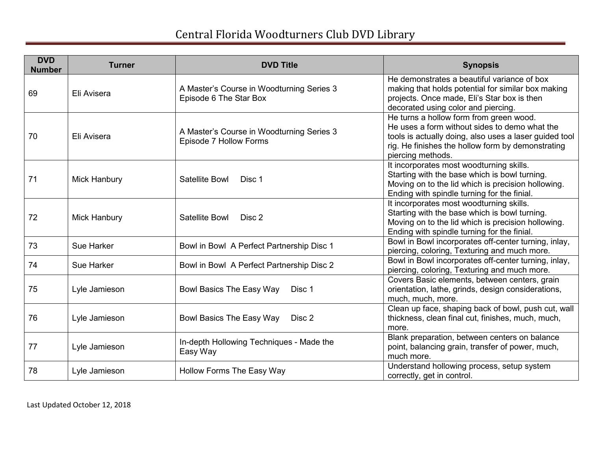| <b>DVD</b><br><b>Number</b> | <b>Turner</b>       | <b>DVD Title</b>                                                    | <b>Synopsis</b>                                                                                                                                                                                                              |
|-----------------------------|---------------------|---------------------------------------------------------------------|------------------------------------------------------------------------------------------------------------------------------------------------------------------------------------------------------------------------------|
| 69                          | Eli Avisera         | A Master's Course in Woodturning Series 3<br>Episode 6 The Star Box | He demonstrates a beautiful variance of box<br>making that holds potential for similar box making<br>projects. Once made, Eli's Star box is then<br>decorated using color and piercing.                                      |
| 70                          | Eli Avisera         | A Master's Course in Woodturning Series 3<br>Episode 7 Hollow Forms | He turns a hollow form from green wood.<br>He uses a form without sides to demo what the<br>tools is actually doing, also uses a laser guided tool<br>rig. He finishes the hollow form by demonstrating<br>piercing methods. |
| 71                          | <b>Mick Hanbury</b> | Satellite Bowl<br>Disc 1                                            | It incorporates most woodturning skills.<br>Starting with the base which is bowl turning.<br>Moving on to the lid which is precision hollowing.<br>Ending with spindle turning for the finial.                               |
| 72                          | Mick Hanbury        | Satellite Bowl<br>Disc 2                                            | It incorporates most woodturning skills.<br>Starting with the base which is bowl turning.<br>Moving on to the lid which is precision hollowing.<br>Ending with spindle turning for the finial.                               |
| 73                          | Sue Harker          | Bowl in Bowl A Perfect Partnership Disc 1                           | Bowl in Bowl incorporates off-center turning, inlay,<br>piercing, coloring, Texturing and much more.                                                                                                                         |
| 74                          | Sue Harker          | Bowl in Bowl A Perfect Partnership Disc 2                           | Bowl in Bowl incorporates off-center turning, inlay,<br>piercing, coloring, Texturing and much more.                                                                                                                         |
| 75                          | Lyle Jamieson       | Bowl Basics The Easy Way<br>Disc 1                                  | Covers Basic elements, between centers, grain<br>orientation, lathe, grinds, design considerations,<br>much, much, more.                                                                                                     |
| 76                          | Lyle Jamieson       | <b>Bowl Basics The Easy Way</b><br>Disc 2                           | Clean up face, shaping back of bowl, push cut, wall<br>thickness, clean final cut, finishes, much, much,<br>more.                                                                                                            |
| 77                          | Lyle Jamieson       | In-depth Hollowing Techniques - Made the<br>Easy Way                | Blank preparation, between centers on balance<br>point, balancing grain, transfer of power, much,<br>much more.                                                                                                              |
| 78                          | Lyle Jamieson       | Hollow Forms The Easy Way                                           | Understand hollowing process, setup system<br>correctly, get in control.                                                                                                                                                     |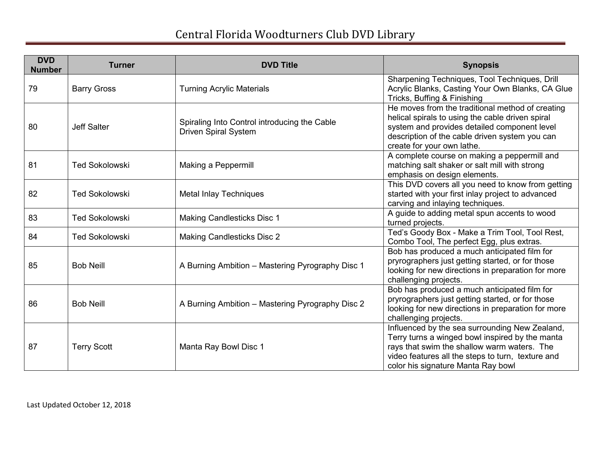| <b>DVD</b><br><b>Number</b> | <b>Turner</b>         | <b>DVD Title</b>                                                            | <b>Synopsis</b>                                                                                                                                                                                                                             |
|-----------------------------|-----------------------|-----------------------------------------------------------------------------|---------------------------------------------------------------------------------------------------------------------------------------------------------------------------------------------------------------------------------------------|
| 79                          | <b>Barry Gross</b>    | <b>Turning Acrylic Materials</b>                                            | Sharpening Techniques, Tool Techniques, Drill<br>Acrylic Blanks, Casting Your Own Blanks, CA Glue<br>Tricks, Buffing & Finishing                                                                                                            |
| 80                          | <b>Jeff Salter</b>    | Spiraling Into Control introducing the Cable<br><b>Driven Spiral System</b> | He moves from the traditional method of creating<br>helical spirals to using the cable driven spiral<br>system and provides detailed component level<br>description of the cable driven system you can<br>create for your own lathe.        |
| 81                          | <b>Ted Sokolowski</b> | Making a Peppermill                                                         | A complete course on making a peppermill and<br>matching salt shaker or salt mill with strong<br>emphasis on design elements.                                                                                                               |
| 82                          | <b>Ted Sokolowski</b> | <b>Metal Inlay Techniques</b>                                               | This DVD covers all you need to know from getting<br>started with your first inlay project to advanced<br>carving and inlaying techniques.                                                                                                  |
| 83                          | <b>Ted Sokolowski</b> | <b>Making Candlesticks Disc 1</b>                                           | A guide to adding metal spun accents to wood<br>turned projects.                                                                                                                                                                            |
| 84                          | <b>Ted Sokolowski</b> | <b>Making Candlesticks Disc 2</b>                                           | Ted's Goody Box - Make a Trim Tool, Tool Rest,<br>Combo Tool, The perfect Egg, plus extras.                                                                                                                                                 |
| 85                          | <b>Bob Neill</b>      | A Burning Ambition - Mastering Pyrography Disc 1                            | Bob has produced a much anticipated film for<br>pryrographers just getting started, or for those<br>looking for new directions in preparation for more<br>challenging projects.                                                             |
| 86                          | <b>Bob Neill</b>      | A Burning Ambition - Mastering Pyrography Disc 2                            | Bob has produced a much anticipated film for<br>pryrographers just getting started, or for those<br>looking for new directions in preparation for more<br>challenging projects.                                                             |
| 87                          | <b>Terry Scott</b>    | Manta Ray Bowl Disc 1                                                       | Influenced by the sea surrounding New Zealand,<br>Terry turns a winged bowl inspired by the manta<br>rays that swim the shallow warm waters. The<br>video features all the steps to turn, texture and<br>color his signature Manta Ray bowl |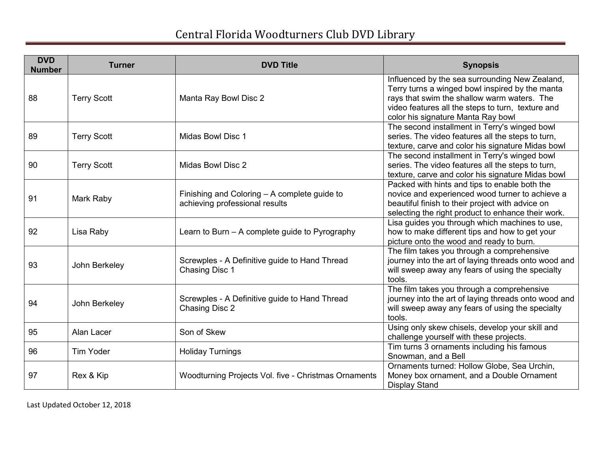| <b>DVD</b><br><b>Number</b> | <b>Turner</b>      | <b>DVD Title</b>                                                               | <b>Synopsis</b>                                                                                                                                                                                                                             |
|-----------------------------|--------------------|--------------------------------------------------------------------------------|---------------------------------------------------------------------------------------------------------------------------------------------------------------------------------------------------------------------------------------------|
| 88                          | <b>Terry Scott</b> | Manta Ray Bowl Disc 2                                                          | Influenced by the sea surrounding New Zealand,<br>Terry turns a winged bowl inspired by the manta<br>rays that swim the shallow warm waters. The<br>video features all the steps to turn, texture and<br>color his signature Manta Ray bowl |
| 89                          | <b>Terry Scott</b> | Midas Bowl Disc 1                                                              | The second installment in Terry's winged bowl<br>series. The video features all the steps to turn,<br>texture, carve and color his signature Midas bowl                                                                                     |
| 90                          | <b>Terry Scott</b> | Midas Bowl Disc 2                                                              | The second installment in Terry's winged bowl<br>series. The video features all the steps to turn,<br>texture, carve and color his signature Midas bowl                                                                                     |
| 91                          | Mark Raby          | Finishing and Coloring - A complete guide to<br>achieving professional results | Packed with hints and tips to enable both the<br>novice and experienced wood turner to achieve a<br>beautiful finish to their project with advice on<br>selecting the right product to enhance their work.                                  |
| 92                          | Lisa Raby          | Learn to Burn – A complete guide to Pyrography                                 | Lisa guides you through which machines to use,<br>how to make different tips and how to get your<br>picture onto the wood and ready to burn.                                                                                                |
| 93                          | John Berkeley      | Screwples - A Definitive guide to Hand Thread<br>Chasing Disc 1                | The film takes you through a comprehensive<br>journey into the art of laying threads onto wood and<br>will sweep away any fears of using the specialty<br>tools.                                                                            |
| 94                          | John Berkeley      | Screwples - A Definitive guide to Hand Thread<br>Chasing Disc 2                | The film takes you through a comprehensive<br>journey into the art of laying threads onto wood and<br>will sweep away any fears of using the specialty<br>tools.                                                                            |
| 95                          | Alan Lacer         | Son of Skew                                                                    | Using only skew chisels, develop your skill and<br>challenge yourself with these projects.                                                                                                                                                  |
| 96                          | <b>Tim Yoder</b>   | <b>Holiday Turnings</b>                                                        | Tim turns 3 ornaments including his famous<br>Snowman, and a Bell                                                                                                                                                                           |
| 97                          | Rex & Kip          | Woodturning Projects Vol. five - Christmas Ornaments                           | Ornaments turned: Hollow Globe, Sea Urchin,<br>Money box ornament, and a Double Ornament<br><b>Display Stand</b>                                                                                                                            |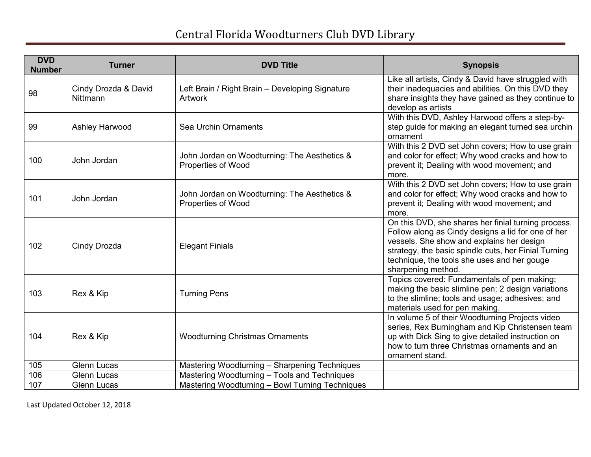| <b>DVD</b><br><b>Number</b> | <b>Turner</b>                    | <b>DVD Title</b>                                                          | <b>Synopsis</b>                                                                                                                                                                                                                                                                     |
|-----------------------------|----------------------------------|---------------------------------------------------------------------------|-------------------------------------------------------------------------------------------------------------------------------------------------------------------------------------------------------------------------------------------------------------------------------------|
| 98                          | Cindy Drozda & David<br>Nittmann | Left Brain / Right Brain - Developing Signature<br><b>Artwork</b>         | Like all artists, Cindy & David have struggled with<br>their inadequacies and abilities. On this DVD they<br>share insights they have gained as they continue to<br>develop as artists                                                                                              |
| 99                          | Ashley Harwood                   | Sea Urchin Ornaments                                                      | With this DVD, Ashley Harwood offers a step-by-<br>step guide for making an elegant turned sea urchin<br>ornament                                                                                                                                                                   |
| 100                         | John Jordan                      | John Jordan on Woodturning: The Aesthetics &<br><b>Properties of Wood</b> | With this 2 DVD set John covers; How to use grain<br>and color for effect; Why wood cracks and how to<br>prevent it; Dealing with wood movement; and<br>more.                                                                                                                       |
| 101                         | John Jordan                      | John Jordan on Woodturning: The Aesthetics &<br>Properties of Wood        | With this 2 DVD set John covers; How to use grain<br>and color for effect; Why wood cracks and how to<br>prevent it; Dealing with wood movement; and<br>more.                                                                                                                       |
| 102                         | Cindy Drozda                     | <b>Elegant Finials</b>                                                    | On this DVD, she shares her finial turning process.<br>Follow along as Cindy designs a lid for one of her<br>vessels. She show and explains her design<br>strategy, the basic spindle cuts, her Finial Turning<br>technique, the tools she uses and her gouge<br>sharpening method. |
| 103                         | Rex & Kip                        | <b>Turning Pens</b>                                                       | Topics covered: Fundamentals of pen making;<br>making the basic slimline pen; 2 design variations<br>to the slimline; tools and usage; adhesives; and<br>materials used for pen making.                                                                                             |
| 104                         | Rex & Kip                        | <b>Woodturning Christmas Ornaments</b>                                    | In volume 5 of their Woodturning Projects video<br>series, Rex Burningham and Kip Christensen team<br>up with Dick Sing to give detailed instruction on<br>how to turn three Christmas ornaments and an<br>ornament stand.                                                          |
| 105                         | <b>Glenn Lucas</b>               | Mastering Woodturning - Sharpening Techniques                             |                                                                                                                                                                                                                                                                                     |
| 106                         | <b>Glenn Lucas</b>               | Mastering Woodturning - Tools and Techniques                              |                                                                                                                                                                                                                                                                                     |
| 107                         | <b>Glenn Lucas</b>               | Mastering Woodturning - Bowl Turning Techniques                           |                                                                                                                                                                                                                                                                                     |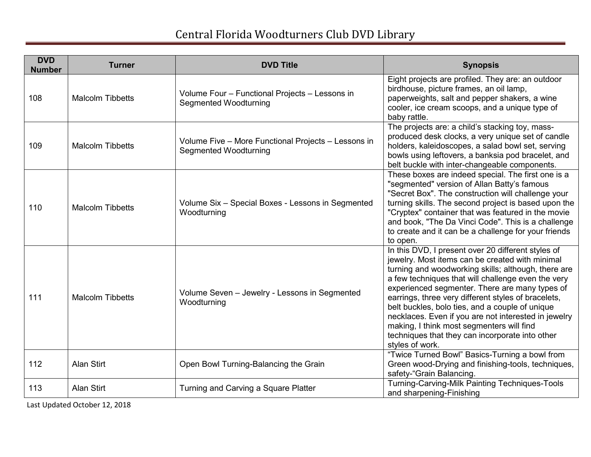| <b>DVD</b><br><b>Number</b> | <b>Turner</b>           | <b>DVD Title</b>                                                                    | <b>Synopsis</b>                                                                                                                                                                                                                                                                                                                                                                                                                                                                                                                                           |
|-----------------------------|-------------------------|-------------------------------------------------------------------------------------|-----------------------------------------------------------------------------------------------------------------------------------------------------------------------------------------------------------------------------------------------------------------------------------------------------------------------------------------------------------------------------------------------------------------------------------------------------------------------------------------------------------------------------------------------------------|
| 108                         | <b>Malcolm Tibbetts</b> | Volume Four - Functional Projects - Lessons in<br><b>Segmented Woodturning</b>      | Eight projects are profiled. They are: an outdoor<br>birdhouse, picture frames, an oil lamp,<br>paperweights, salt and pepper shakers, a wine<br>cooler, ice cream scoops, and a unique type of<br>baby rattle.                                                                                                                                                                                                                                                                                                                                           |
| 109                         | <b>Malcolm Tibbetts</b> | Volume Five - More Functional Projects - Lessons in<br><b>Segmented Woodturning</b> | The projects are: a child's stacking toy, mass-<br>produced desk clocks, a very unique set of candle<br>holders, kaleidoscopes, a salad bowl set, serving<br>bowls using leftovers, a banksia pod bracelet, and<br>belt buckle with inter-changeable components.                                                                                                                                                                                                                                                                                          |
| 110                         | <b>Malcolm Tibbetts</b> | Volume Six - Special Boxes - Lessons in Segmented<br>Woodturning                    | These boxes are indeed special. The first one is a<br>"segmented" version of Allan Batty's famous<br>"Secret Box". The construction will challenge your<br>turning skills. The second project is based upon the<br>"Cryptex" container that was featured in the movie<br>and book, "The Da Vinci Code". This is a challenge<br>to create and it can be a challenge for your friends<br>to open.                                                                                                                                                           |
| 111                         | <b>Malcolm Tibbetts</b> | Volume Seven - Jewelry - Lessons in Segmented<br>Woodturning                        | In this DVD, I present over 20 different styles of<br>jewelry. Most items can be created with minimal<br>turning and woodworking skills; although, there are<br>a few techniques that will challenge even the very<br>experienced segmenter. There are many types of<br>earrings, three very different styles of bracelets,<br>belt buckles, bolo ties, and a couple of unique<br>necklaces. Even if you are not interested in jewelry<br>making, I think most segmenters will find<br>techniques that they can incorporate into other<br>styles of work. |
| 112                         | <b>Alan Stirt</b>       | Open Bowl Turning-Balancing the Grain                                               | "Twice Turned Bowl" Basics-Turning a bowl from<br>Green wood-Drying and finishing-tools, techniques,<br>safety-"Grain Balancing.                                                                                                                                                                                                                                                                                                                                                                                                                          |
| 113                         | Alan Stirt              | Turning and Carving a Square Platter                                                | Turning-Carving-Milk Painting Techniques-Tools<br>and sharpening-Finishing                                                                                                                                                                                                                                                                                                                                                                                                                                                                                |